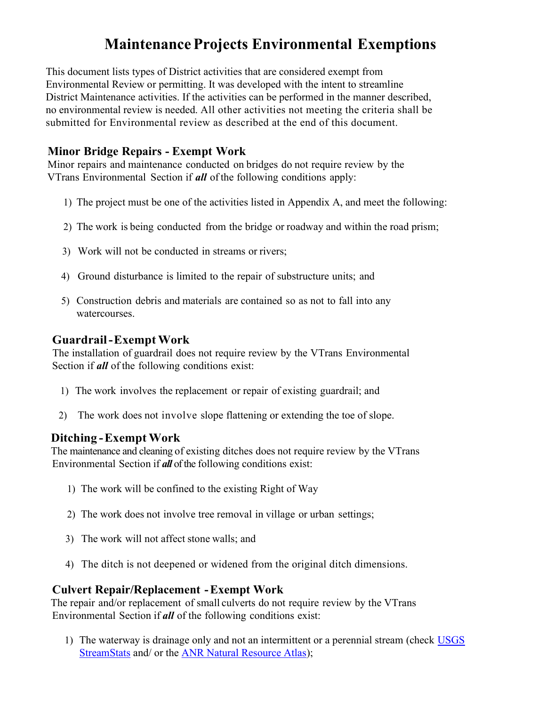# Maintenance Projects Environmental Exemptions

This document lists types of District activities that are considered exempt from Environmental Review or permitting. It was developed with the intent to streamline District Maintenance activities. If the activities can be performed in the manner described, no environmental review is needed. All other activities not meeting the criteria shall be submitted for Environmental review as described at the end of this document.

### Minor Bridge Repairs - Exempt Work

Minor repairs and maintenance conducted on bridges do not require review by the VTrans Environmental Section if **all** of the following conditions apply:

- 1) The project must be one of the activities listed in Appendix A, and meet the following:
- 2) The work is being conducted from the bridge or roadway and within the road prism;
- 3) Work will not be conducted in streams or rivers;
- 4) Ground disturbance is limited to the repair of substructure units; and
- 5) Construction debris and materials are contained so as not to fall into any watercourses.

#### Guardrail - Exempt Work

The installation of guardrail does not require review by the VTrans Environmental Section if *all* of the following conditions exist:

- 1) The work involves the replacement or repair of existing guardrail; and
- 2) The work does not involve slope flattening or extending the toe of slope.

#### Ditching - Exempt Work

The maintenance and cleaning of existing ditches does not require review by the VTrans Environmental Section if all of the following conditions exist:

- 1) The work will be confined to the existing Right of Way
- 2) The work does not involve tree removal in village or urban settings;
- 3) The work will not affect stone walls; and
- 4) The ditch is not deepened or widened from the original ditch dimensions.

#### Culvert Repair/Replacement - Exempt Work

 The repair and/or replacement of small culverts do not require review by the VTrans Environmental Section if **all** of the following conditions exist:

1) The waterway is drainage only and not an intermittent or a perennial stream (check USGS StreamStats and/ or the ANR Natural Resource Atlas);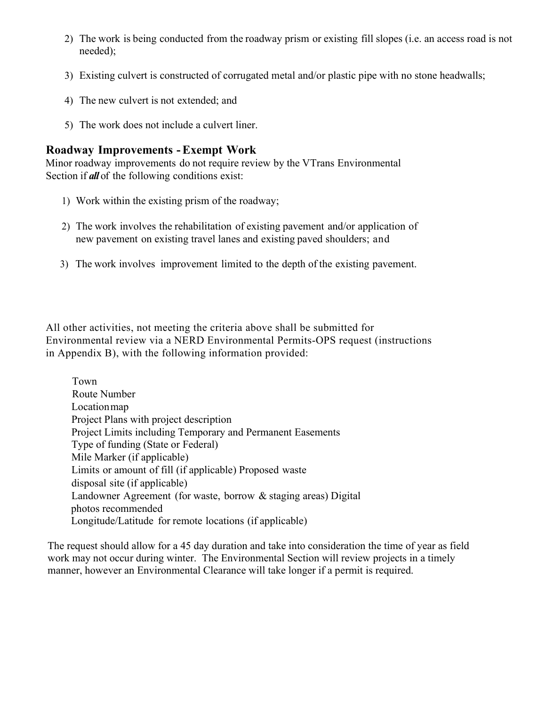- 2) The work is being conducted from the roadway prism or existing fill slopes (i.e. an access road is not needed);
- 3) Existing culvert is constructed of corrugated metal and/or plastic pipe with no stone headwalls;
- 4) The new culvert is not extended; and
- 5) The work does not include a culvert liner.

#### Roadway Improvements - Exempt Work

Minor roadway improvements do not require review by the VTrans Environmental Section if **all** of the following conditions exist:

- 1) Work within the existing prism of the roadway;
- 2) The work involves the rehabilitation of existing pavement and/or application of new pavement on existing travel lanes and existing paved shoulders; and
- 3) The work involves improvement limited to the depth of the existing pavement.

All other activities, not meeting the criteria above shall be submitted for Environmental review via a NERD Environmental Permits-OPS request (instructions in Appendix B), with the following information provided:

Town Route Number Location map Project Plans with project description Project Limits including Temporary and Permanent Easements Type of funding (State or Federal) Mile Marker (if applicable) Limits or amount of fill (if applicable) Proposed waste disposal site (if applicable) Landowner Agreement (for waste, borrow & staging areas) Digital photos recommended Longitude/Latitude for remote locations (if applicable)

The request should allow for a 45 day duration and take into consideration the time of year as field work may not occur during winter. The Environmental Section will review projects in a timely manner, however an Environmental Clearance will take longer if a permit is required.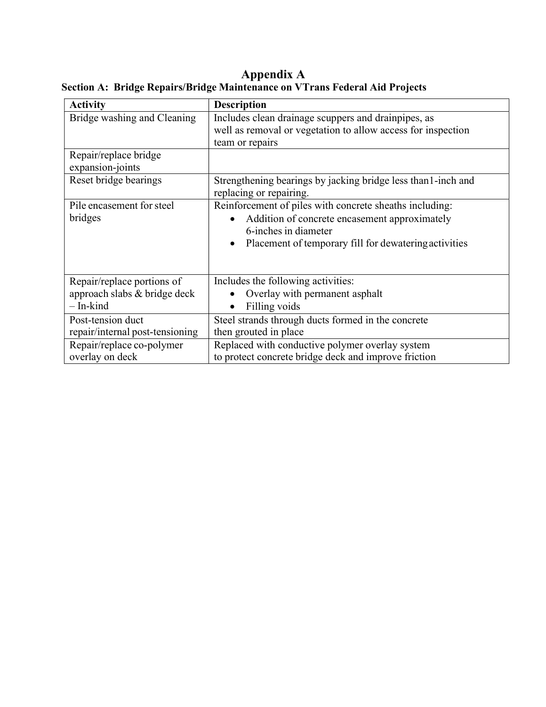#### Appendix A Section A: Bridge Repairs/Bridge Maintenance on VTrans Federal Aid Projects

| <b>Activity</b>                           | <b>Description</b>                                                                       |
|-------------------------------------------|------------------------------------------------------------------------------------------|
| Bridge washing and Cleaning               | Includes clean drainage scuppers and drainpipes, as                                      |
|                                           | well as removal or vegetation to allow access for inspection                             |
|                                           | team or repairs                                                                          |
| Repair/replace bridge<br>expansion-joints |                                                                                          |
| Reset bridge bearings                     | Strengthening bearings by jacking bridge less than 1-inch and<br>replacing or repairing. |
| Pile encasement for steel                 | Reinforcement of piles with concrete sheaths including:                                  |
| bridges                                   | Addition of concrete encasement approximately<br>$\bullet$                               |
|                                           | 6-inches in diameter                                                                     |
|                                           | Placement of temporary fill for dewatering activities                                    |
|                                           |                                                                                          |
| Repair/replace portions of                | Includes the following activities:                                                       |
| approach slabs & bridge deck              | Overlay with permanent asphalt                                                           |
| $-$ In-kind                               | Filling voids                                                                            |
| Post-tension duct                         | Steel strands through ducts formed in the concrete                                       |
| repair/internal post-tensioning           | then grouted in place                                                                    |
| Repair/replace co-polymer                 | Replaced with conductive polymer overlay system                                          |
| overlay on deck                           | to protect concrete bridge deck and improve friction                                     |